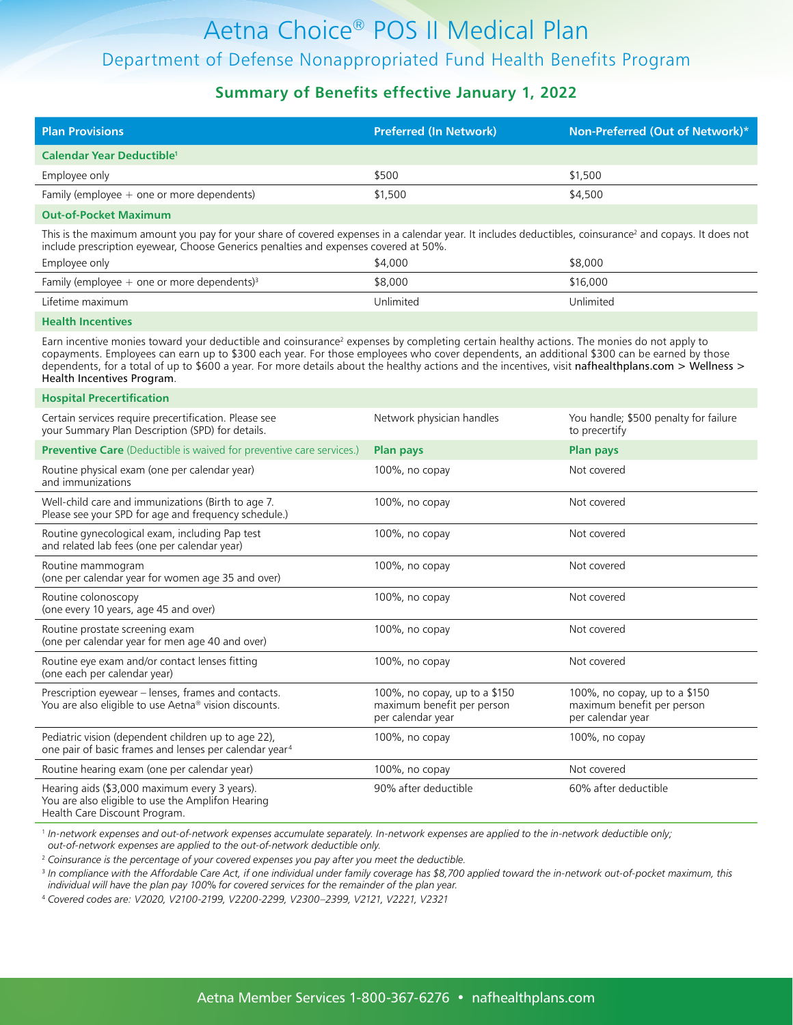#### **Summary of Benefits effective January 1, 2022**

| <b>Plan Provisions</b>                       | <b>Preferred (In Network)</b> | Non-Preferred (Out of Network)* |
|----------------------------------------------|-------------------------------|---------------------------------|
| Calendar Year Deductible <sup>1</sup>        |                               |                                 |
| Employee only                                | \$500                         | \$1,500                         |
| Family (employee $+$ one or more dependents) | \$1,500                       | \$4,500                         |
|                                              |                               |                                 |

#### **Out-of-Pocket Maximum**

This is the maximum amount you pay for your share of covered expenses in a calendar year. It includes deductibles, coinsurance<sup>2</sup> and copays. It does not include prescription eyewear, Choose Generics penalties and expenses covered at 50%.

| Employee only                                             | \$4,000   | \$8,000   |
|-----------------------------------------------------------|-----------|-----------|
| Family (employee $+$ one or more dependents) <sup>3</sup> | \$8,000   | \$16,000  |
| Lifetime maximum                                          | Unlimited | Unlimited |

#### **Health Incentives**

Earn incentive monies toward your deductible and coinsurance<sup>2</sup> expenses by completing certain healthy actions. The monies do not apply to copayments. Employees can earn up to \$300 each year. For those employees who cover dependents, an additional \$300 can be earned by those dependents, for a total of up to \$600 a year. For more details about the healthy actions and the incentives, visit [nafhealthplans.com > Wellness >](https://www.nafhealthplans.com/wellness/health-incentives-program)  [Health Incentives Program](https://www.nafhealthplans.com/wellness/health-incentives-program).

#### **Hospital Precertification**

| Certain services require precertification. Please see<br>your Summary Plan Description (SPD) for details.                           | Network physician handles                                                        | You handle; \$500 penalty for failure<br>to precertify                           |
|-------------------------------------------------------------------------------------------------------------------------------------|----------------------------------------------------------------------------------|----------------------------------------------------------------------------------|
| <b>Preventive Care</b> (Deductible is waived for preventive care services.)                                                         | <b>Plan pays</b>                                                                 | Plan pays                                                                        |
| Routine physical exam (one per calendar year)<br>and immunizations                                                                  | 100%, no copay                                                                   | Not covered                                                                      |
| Well-child care and immunizations (Birth to age 7.<br>Please see your SPD for age and frequency schedule.)                          | 100%, no copay                                                                   | Not covered                                                                      |
| Routine gynecological exam, including Pap test<br>and related lab fees (one per calendar year)                                      | 100%, no copay                                                                   | Not covered                                                                      |
| Routine mammogram<br>(one per calendar year for women age 35 and over)                                                              | 100%, no copay                                                                   | Not covered                                                                      |
| Routine colonoscopy<br>(one every 10 years, age 45 and over)                                                                        | 100%, no copay                                                                   | Not covered                                                                      |
| Routine prostate screening exam<br>(one per calendar year for men age 40 and over)                                                  | 100%, no copay                                                                   | Not covered                                                                      |
| Routine eye exam and/or contact lenses fitting<br>(one each per calendar year)                                                      | 100%, no copay                                                                   | Not covered                                                                      |
| Prescription eyewear - lenses, frames and contacts.<br>You are also eligible to use Aetna® vision discounts.                        | 100%, no copay, up to a \$150<br>maximum benefit per person<br>per calendar year | 100%, no copay, up to a \$150<br>maximum benefit per person<br>per calendar year |
| Pediatric vision (dependent children up to age 22),<br>one pair of basic frames and lenses per calendar year <sup>4</sup>           | $100\%$ , no copay                                                               | $100\%$ , no copay                                                               |
| Routine hearing exam (one per calendar year)                                                                                        | 100%, no copay                                                                   | Not covered                                                                      |
| Hearing aids (\$3,000 maximum every 3 years).<br>You are also eligible to use the Amplifon Hearing<br>Health Care Discount Program. | 90% after deductible                                                             | 60% after deductible                                                             |

<sup>1</sup> *In-network expenses and out-of-network expenses accumulate separately. In-network expenses are applied to the in-network deductible only; out-of-network expenses are applied to the out-of-network deductible only.*

2  *Coinsurance is the percentage of your covered expenses you pay after you meet the deductible.*

<sup>3</sup> In compliance with the Affordable Care Act, if one individual under family coverage has \$8,700 applied toward the in-network out-of-pocket maximum, this *individual will have the plan pay 100% for covered services for the remainder of the plan year.*

4  *Covered codes are: V2020, V2100-2199, V2200-2299, V2300–2399, V2121, V2221, V2321*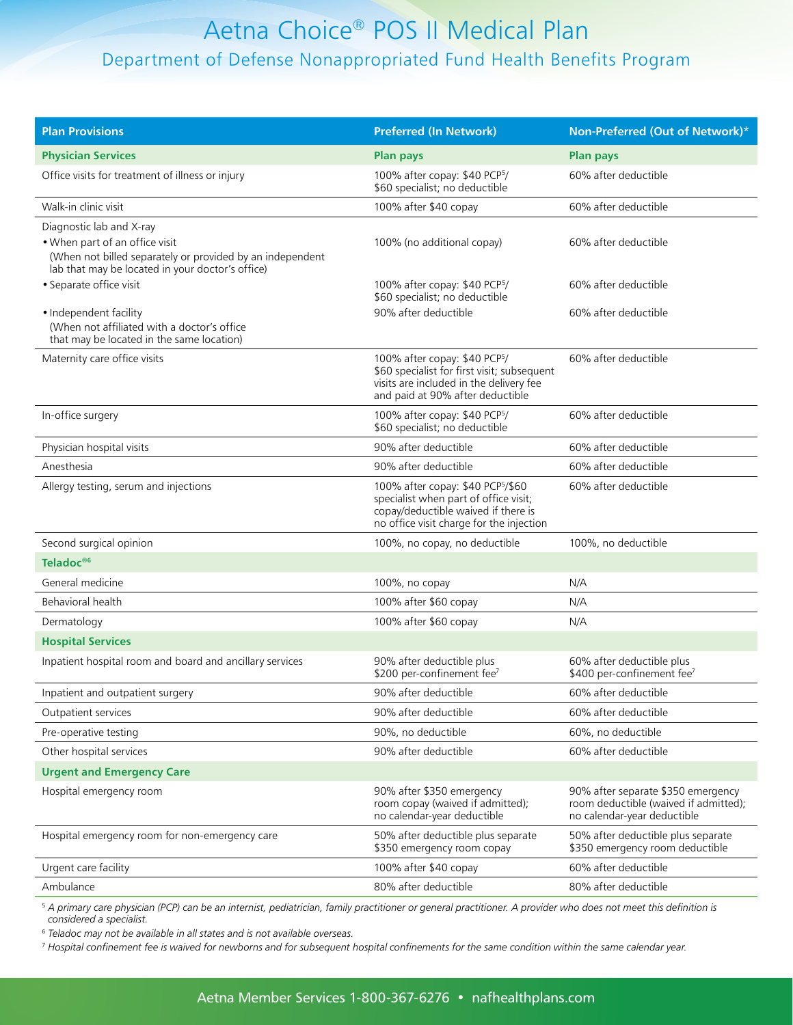| <b>Plan Provisions</b>                                                                                                                          | <b>Preferred (In Network)</b>                                                                                                                                           | Non-Preferred (Out of Network)*                                                                            |
|-------------------------------------------------------------------------------------------------------------------------------------------------|-------------------------------------------------------------------------------------------------------------------------------------------------------------------------|------------------------------------------------------------------------------------------------------------|
| <b>Physician Services</b>                                                                                                                       | <b>Plan pays</b>                                                                                                                                                        | <b>Plan pays</b>                                                                                           |
| Office visits for treatment of illness or injury                                                                                                | 100% after copay: \$40 PCP <sup>5</sup> /<br>\$60 specialist; no deductible                                                                                             | 60% after deductible                                                                                       |
| Walk-in clinic visit                                                                                                                            | 100% after \$40 copay                                                                                                                                                   | 60% after deductible                                                                                       |
| Diagnostic lab and X-ray                                                                                                                        |                                                                                                                                                                         |                                                                                                            |
| • When part of an office visit<br>(When not billed separately or provided by an independent<br>lab that may be located in your doctor's office) | 100% (no additional copay)                                                                                                                                              | 60% after deductible                                                                                       |
| • Separate office visit                                                                                                                         | 100% after copay: \$40 PCP <sup>5</sup> /<br>\$60 specialist; no deductible                                                                                             | 60% after deductible                                                                                       |
| · Independent facility<br>(When not affiliated with a doctor's office<br>that may be located in the same location)                              | 90% after deductible                                                                                                                                                    | 60% after deductible                                                                                       |
| Maternity care office visits                                                                                                                    | 100% after copay: \$40 PCP <sup>5</sup> /<br>\$60 specialist for first visit; subsequent<br>visits are included in the delivery fee<br>and paid at 90% after deductible | 60% after deductible                                                                                       |
| In-office surgery                                                                                                                               | 100% after copay: \$40 PCP5/<br>\$60 specialist; no deductible                                                                                                          | 60% after deductible                                                                                       |
| Physician hospital visits                                                                                                                       | 90% after deductible                                                                                                                                                    | 60% after deductible                                                                                       |
| Anesthesia                                                                                                                                      | 90% after deductible                                                                                                                                                    | 60% after deductible                                                                                       |
| Allergy testing, serum and injections                                                                                                           | 100% after copay: \$40 PCP5/\$60<br>specialist when part of office visit;<br>copay/deductible waived if there is<br>no office visit charge for the injection            | 60% after deductible                                                                                       |
| Second surgical opinion                                                                                                                         | 100%, no copay, no deductible                                                                                                                                           | 100%, no deductible                                                                                        |
| Teladoc <sup>®6</sup>                                                                                                                           |                                                                                                                                                                         |                                                                                                            |
| General medicine                                                                                                                                | 100%, no copay                                                                                                                                                          | N/A                                                                                                        |
| Behavioral health                                                                                                                               | 100% after \$60 copay                                                                                                                                                   | N/A                                                                                                        |
| Dermatology                                                                                                                                     | 100% after \$60 copay                                                                                                                                                   | N/A                                                                                                        |
| <b>Hospital Services</b>                                                                                                                        |                                                                                                                                                                         |                                                                                                            |
| Inpatient hospital room and board and ancillary services                                                                                        | 90% after deductible plus<br>\$200 per-confinement fee <sup>7</sup>                                                                                                     | 60% after deductible plus<br>\$400 per-confinement fee <sup>7</sup>                                        |
| Inpatient and outpatient surgery                                                                                                                | 90% after deductible                                                                                                                                                    | 60% after deductible                                                                                       |
| Outpatient services                                                                                                                             | 90% after deductible                                                                                                                                                    | 60% after deductible                                                                                       |
| Pre-operative testing                                                                                                                           | 90%, no deductible                                                                                                                                                      | 60%, no deductible                                                                                         |
| Other hospital services                                                                                                                         | 90% after deductible                                                                                                                                                    | 60% after deductible                                                                                       |
| <b>Urgent and Emergency Care</b>                                                                                                                |                                                                                                                                                                         |                                                                                                            |
| Hospital emergency room                                                                                                                         | 90% after \$350 emergency<br>room copay (waived if admitted);<br>no calendar-year deductible                                                                            | 90% after separate \$350 emergency<br>room deductible (waived if admitted);<br>no calendar-year deductible |
| Hospital emergency room for non-emergency care                                                                                                  | 50% after deductible plus separate<br>\$350 emergency room copay                                                                                                        | 50% after deductible plus separate<br>\$350 emergency room deductible                                      |
| Urgent care facility                                                                                                                            | 100% after \$40 copay                                                                                                                                                   | 60% after deductible                                                                                       |
| Ambulance                                                                                                                                       | 80% after deductible                                                                                                                                                    | 80% after deductible                                                                                       |

<sup>5</sup> *A primary care physician (PCP) can be an internist, pediatrician, family practitioner or general practitioner. A provider who does not meet this definition is considered a specialist.*

<sup>6</sup> *Teladoc may not be available in all states and is not available overseas.*

<sup>7</sup> *Hospital confinement fee is waived for newborns and for subsequent hospital confinements for the same condition within the same calendar year.*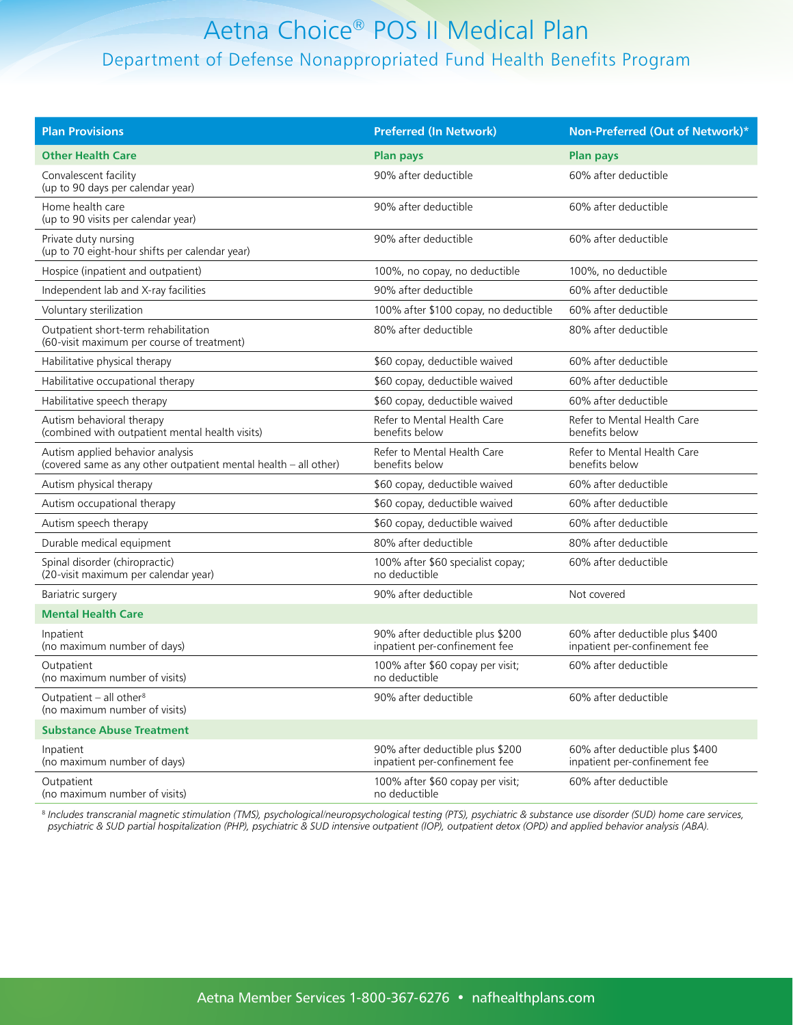| <b>Plan Provisions</b>                                                                               | <b>Preferred (In Network)</b>                                    | Non-Preferred (Out of Network)*                                  |
|------------------------------------------------------------------------------------------------------|------------------------------------------------------------------|------------------------------------------------------------------|
| <b>Other Health Care</b>                                                                             | <b>Plan pays</b>                                                 | <b>Plan pays</b>                                                 |
| Convalescent facility<br>(up to 90 days per calendar year)                                           | 90% after deductible                                             | 60% after deductible                                             |
| Home health care<br>(up to 90 visits per calendar year)                                              | 90% after deductible                                             | 60% after deductible                                             |
| Private duty nursing<br>(up to 70 eight-hour shifts per calendar year)                               | 90% after deductible                                             | 60% after deductible                                             |
| Hospice (inpatient and outpatient)                                                                   | 100%, no copay, no deductible                                    | 100%, no deductible                                              |
| Independent lab and X-ray facilities                                                                 | 90% after deductible                                             | 60% after deductible                                             |
| Voluntary sterilization                                                                              | 100% after \$100 copay, no deductible                            | 60% after deductible                                             |
| Outpatient short-term rehabilitation<br>(60-visit maximum per course of treatment)                   | 80% after deductible                                             | 80% after deductible                                             |
| Habilitative physical therapy                                                                        | \$60 copay, deductible waived                                    | 60% after deductible                                             |
| Habilitative occupational therapy                                                                    | \$60 copay, deductible waived                                    | 60% after deductible                                             |
| Habilitative speech therapy                                                                          | \$60 copay, deductible waived                                    | 60% after deductible                                             |
| Autism behavioral therapy<br>(combined with outpatient mental health visits)                         | Refer to Mental Health Care<br>benefits below                    | Refer to Mental Health Care<br>benefits below                    |
| Autism applied behavior analysis<br>(covered same as any other outpatient mental health - all other) | Refer to Mental Health Care<br>benefits below                    | Refer to Mental Health Care<br>benefits below                    |
| Autism physical therapy                                                                              | \$60 copay, deductible waived                                    | 60% after deductible                                             |
| Autism occupational therapy                                                                          | \$60 copay, deductible waived                                    | 60% after deductible                                             |
| Autism speech therapy                                                                                | \$60 copay, deductible waived                                    | 60% after deductible                                             |
| Durable medical equipment                                                                            | 80% after deductible                                             | 80% after deductible                                             |
| Spinal disorder (chiropractic)<br>(20-visit maximum per calendar year)                               | 100% after \$60 specialist copay;<br>no deductible               | 60% after deductible                                             |
| Bariatric surgery                                                                                    | 90% after deductible                                             | Not covered                                                      |
| <b>Mental Health Care</b>                                                                            |                                                                  |                                                                  |
| Inpatient<br>(no maximum number of days)                                                             | 90% after deductible plus \$200<br>inpatient per-confinement fee | 60% after deductible plus \$400<br>inpatient per-confinement fee |
| Outpatient<br>(no maximum number of visits)                                                          | 100% after \$60 copay per visit;<br>no deductible                | 60% after deductible                                             |
| Outpatient - all other <sup>8</sup><br>(no maximum number of visits)                                 | 90% after deductible                                             | 60% after deductible                                             |
| <b>Substance Abuse Treatment</b>                                                                     |                                                                  |                                                                  |
| Inpatient<br>(no maximum number of days)                                                             | 90% after deductible plus \$200<br>inpatient per-confinement fee | 60% after deductible plus \$400<br>inpatient per-confinement fee |
| Outpatient<br>(no maximum number of visits)                                                          | 100% after \$60 copay per visit;<br>no deductible                | 60% after deductible                                             |

<sup>8</sup> *Includes transcranial magnetic stimulation (TMS), psychological/neuropsychological testing (PTS), psychiatric & substance use disorder (SUD) home care services, psychiatric & SUD partial hospitalization (PHP), psychiatric & SUD intensive outpatient (IOP), outpatient detox (OPD) and applied behavior analysis (ABA).*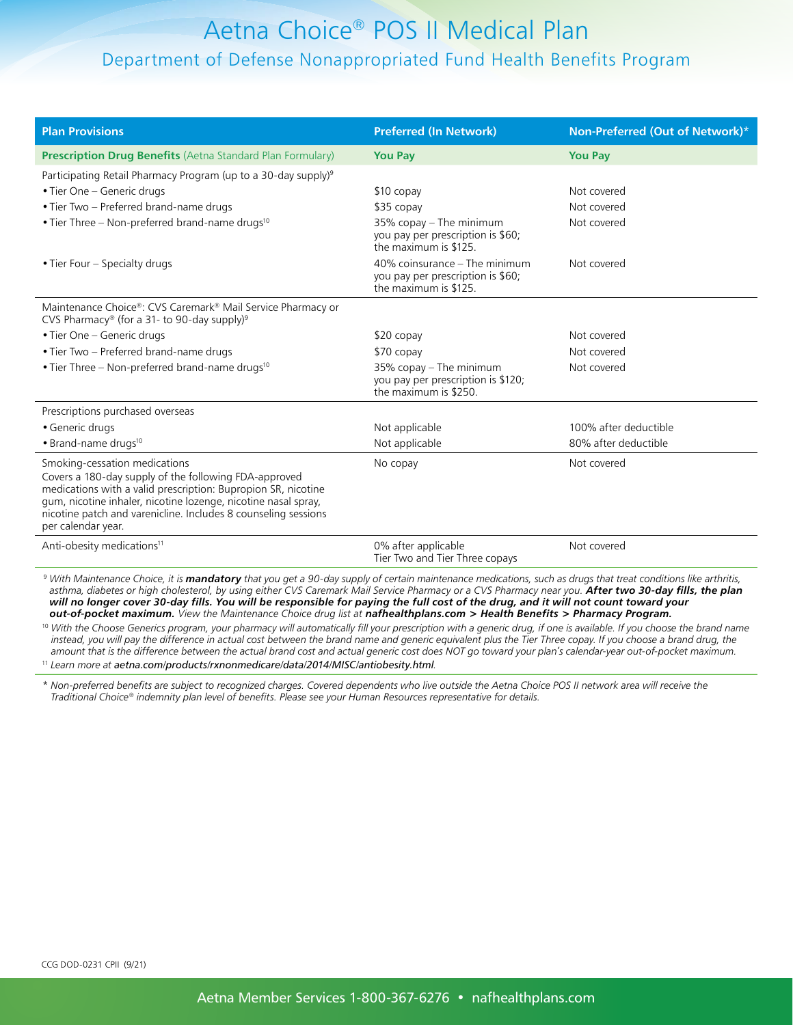| <b>Plan Provisions</b>                                                                                                                                                                                                                                                                                            | <b>Preferred (In Network)</b>                                                               | Non-Preferred (Out of Network)* |
|-------------------------------------------------------------------------------------------------------------------------------------------------------------------------------------------------------------------------------------------------------------------------------------------------------------------|---------------------------------------------------------------------------------------------|---------------------------------|
| <b>Prescription Drug Benefits</b> (Aetna Standard Plan Formulary)                                                                                                                                                                                                                                                 | <b>You Pay</b>                                                                              | <b>You Pay</b>                  |
| Participating Retail Pharmacy Program (up to a 30-day supply) <sup>9</sup>                                                                                                                                                                                                                                        |                                                                                             |                                 |
| • Tier One - Generic drugs                                                                                                                                                                                                                                                                                        | $$10$ copay                                                                                 | Not covered                     |
| • Tier Two - Preferred brand-name drugs                                                                                                                                                                                                                                                                           | \$35 copay                                                                                  | Not covered                     |
| • Tier Three – Non-preferred brand-name drugs <sup>10</sup>                                                                                                                                                                                                                                                       | 35% copay - The minimum<br>you pay per prescription is \$60;<br>the maximum is \$125.       | Not covered                     |
| • Tier Four – Specialty drugs                                                                                                                                                                                                                                                                                     | 40% coinsurance – The minimum<br>you pay per prescription is \$60;<br>the maximum is \$125. | Not covered                     |
| Maintenance Choice®: CVS Caremark® Mail Service Pharmacy or<br>CVS Pharmacy® (for a 31- to 90-day supply) <sup>9</sup>                                                                                                                                                                                            |                                                                                             |                                 |
| • Tier One – Generic drugs                                                                                                                                                                                                                                                                                        | $$20$ copay                                                                                 | Not covered                     |
| • Tier Two - Preferred brand-name drugs                                                                                                                                                                                                                                                                           | \$70 copay                                                                                  | Not covered                     |
| • Tier Three – Non-preferred brand-name drugs <sup>10</sup>                                                                                                                                                                                                                                                       | 35% copay – The minimum<br>you pay per prescription is \$120;<br>the maximum is \$250.      | Not covered                     |
| Prescriptions purchased overseas                                                                                                                                                                                                                                                                                  |                                                                                             |                                 |
| • Generic drugs                                                                                                                                                                                                                                                                                                   | Not applicable                                                                              | 100% after deductible           |
| • Brand-name drugs <sup>10</sup>                                                                                                                                                                                                                                                                                  | Not applicable                                                                              | 80% after deductible            |
| Smoking-cessation medications<br>Covers a 180-day supply of the following FDA-approved<br>medications with a valid prescription: Bupropion SR, nicotine<br>gum, nicotine inhaler, nicotine lozenge, nicotine nasal spray,<br>nicotine patch and varenicline. Includes 8 counseling sessions<br>per calendar year. | No copay                                                                                    | Not covered                     |
| Anti-obesity medications <sup>11</sup>                                                                                                                                                                                                                                                                            | 0% after applicable<br>Tier Two and Tier Three copays                                       | Not covered                     |

<sup>9</sup> *With Maintenance Choice, it is mandatory that you get a 90-day supply of certain maintenance medications, such as drugs that treat conditions like arthritis, asthma, diabetes or high cholesterol, by using either CVS Caremark Mail Service Pharmacy or a CVS Pharmacy near you. After two 30-day fills, the plan will no longer cover 30-day fills. You will be responsible for paying the full cost of the drug, and it will not count toward your out-of-pocket maximum. View the Maintenance Choice drug list at [nafhealthplans.com > Health Benefits > Pharmacy Program.](https://www.nafhealthplans.com/Health Benefits/Pharmacy Programs)*

<sup>10</sup> With the Choose Generics program, your pharmacy will automatically fill your prescription with a generic drug, if one is available. If you choose the brand name *instead, you will pay the difference in actual cost between the brand name and generic equivalent plus the Tier Three copay. If you choose a brand drug, the amount that is the difference between the actual brand cost and actual generic cost does NOT go toward your plan's calendar-year out-of-pocket maximum.*  <sup>11</sup> *Learn more at [aetna.com/products/rxnonmedicare/data/2014/MISC/antiobesity.html](http://www.aetna.com/products/rxnonmedicare/data/2014/MISC/antiobesity.html).*

\* *Non-preferred benefits are subject to recognized charges. Covered dependents who live outside the Aetna Choice POS II network area will receive the Traditional Choice® indemnity plan level of benefits. Please see your Human Resources representative for details.*